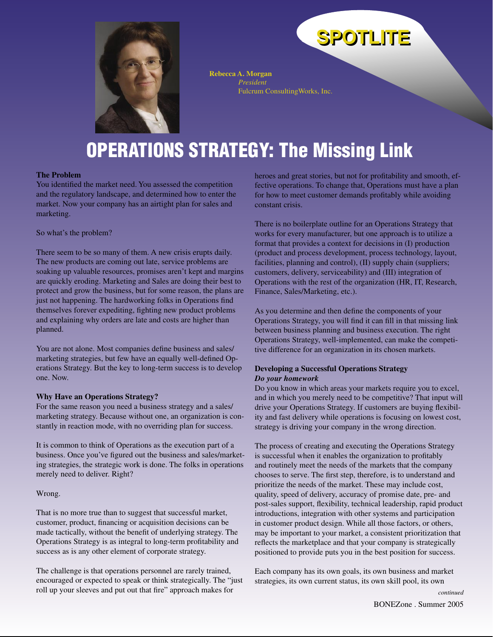

**Rebecca A. Morgan** *President* Fulcrum ConsultingWorks, Inc.

## **OPERATIONS STRATEGY: The Missing Link**

#### **The Problem**

You identified the market need. You assessed the competition and the regulatory landscape, and determined how to enter the market. Now your company has an airtight plan for sales and marketing.

So what's the problem?

There seem to be so many of them. A new crisis erupts daily. The new products are coming out late, service problems are soaking up valuable resources, promises aren't kept and margins are quickly eroding. Marketing and Sales are doing their best to protect and grow the business, but for some reason, the plans are just not happening. The hardworking folks in Operations find themselves forever expediting, fighting new product problems and explaining why orders are late and costs are higher than planned.

You are not alone. Most companies define business and sales/ marketing strategies, but few have an equally well-defined Operations Strategy. But the key to long-term success is to develop one. Now.

### **Why Have an Operations Strategy?**

For the same reason you need a business strategy and a sales/ marketing strategy. Because without one, an organization is constantly in reaction mode, with no overriding plan for success.

It is common to think of Operations as the execution part of a business. Once you've figured out the business and sales/marketing strategies, the strategic work is done. The folks in operations merely need to deliver. Right?

### Wrong.

That is no more true than to suggest that successful market, customer, product, financing or acquisition decisions can be made tactically, without the benefit of underlying strategy. The Operations Strategy is as integral to long-term profitability and success as is any other element of corporate strategy.

The challenge is that operations personnel are rarely trained, encouraged or expected to speak or think strategically. The "just roll up your sleeves and put out that fire" approach makes for

heroes and great stories, but not for profitability and smooth, effective operations. To change that, Operations must have a plan for how to meet customer demands profitably while avoiding constant crisis.

**SPOTLITE SPOTLITE**

There is no boilerplate outline for an Operations Strategy that works for every manufacturer, but one approach is to utilize a format that provides a context for decisions in (I) production (product and process development, process technology, layout, facilities, planning and control), (II) supply chain (suppliers; customers, delivery, serviceability) and (III) integration of Operations with the rest of the organization (HR, IT, Research, Finance, Sales/Marketing, etc.).

As you determine and then define the components of your Operations Strategy, you will find it can fill in that missing link between business planning and business execution. The right Operations Strategy, well-implemented, can make the competitive difference for an organization in its chosen markets.

### **Developing a Successful Operations Strategy** *Do your homework*

Do you know in which areas your markets require you to excel, and in which you merely need to be competitive? That input will drive your Operations Strategy. If customers are buying flexibility and fast delivery while operations is focusing on lowest cost, strategy is driving your company in the wrong direction.

The process of creating and executing the Operations Strategy is successful when it enables the organization to profitably and routinely meet the needs of the markets that the company chooses to serve. The first step, therefore, is to understand and prioritize the needs of the market. These may include cost, quality, speed of delivery, accuracy of promise date, pre- and post-sales support, flexibility, technical leadership, rapid product introductions, integration with other systems and participation in customer product design. While all those factors, or others, may be important to your market, a consistent prioritization that reflects the marketplace and that your company is strategically positioned to provide puts you in the best position for success.

Each company has its own goals, its own business and market strategies, its own current status, its own skill pool, its own

*continued*